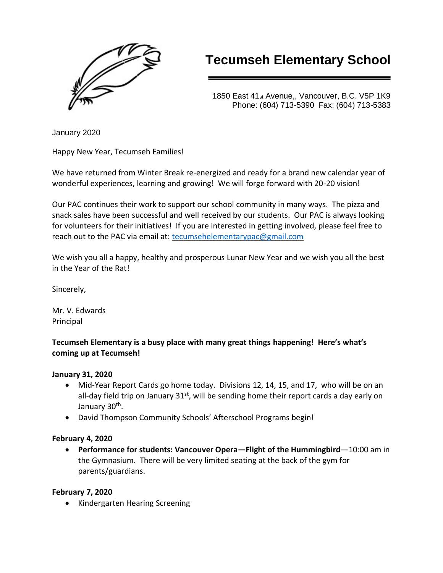

# **Tecumseh Elementary School**

1850 East 41st Avenue,, Vancouver, B.C. V5P 1K9 Phone: (604) 713-5390 Fax: (604) 713-5383

January 2020

Happy New Year, Tecumseh Families!

We have returned from Winter Break re-energized and ready for a brand new calendar year of wonderful experiences, learning and growing! We will forge forward with 20-20 vision!

Our PAC continues their work to support our school community in many ways. The pizza and snack sales have been successful and well received by our students. Our PAC is always looking for volunteers for their initiatives! If you are interested in getting involved, please feel free to reach out to the PAC via email at: [tecumsehelementarypac@gmail.com](mailto:tecumsehelementarypac@gmail.com)

We wish you all a happy, healthy and prosperous Lunar New Year and we wish you all the best in the Year of the Rat!

Sincerely,

Mr. V. Edwards Principal

## **Tecumseh Elementary is a busy place with many great things happening! Here's what's coming up at Tecumseh!**

## **January 31, 2020**

- Mid-Year Report Cards go home today. Divisions 12, 14, 15, and 17, who will be on an all-day field trip on January  $31^{st}$ , will be sending home their report cards a day early on January 30<sup>th</sup>.
- David Thompson Community Schools' Afterschool Programs begin!

## **February 4, 2020**

• **Performance for students: Vancouver Opera—Flight of the Hummingbird**—10:00 am in the Gymnasium. There will be very limited seating at the back of the gym for parents/guardians.

#### **February 7, 2020**

• Kindergarten Hearing Screening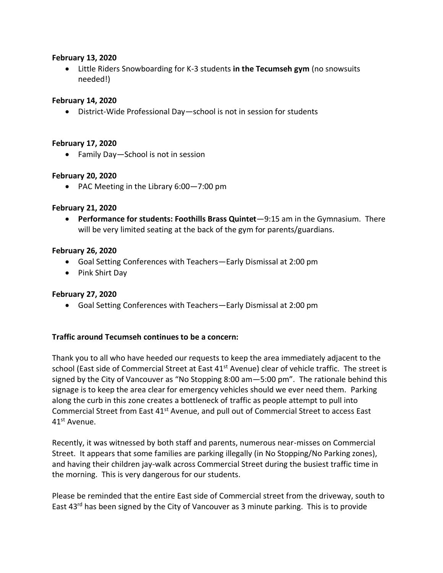#### **February 13, 2020**

• Little Riders Snowboarding for K-3 students **in the Tecumseh gym** (no snowsuits needed!)

#### **February 14, 2020**

• District-Wide Professional Day—school is not in session for students

#### **February 17, 2020**

• Family Day—School is not in session

#### **February 20, 2020**

• PAC Meeting in the Library 6:00—7:00 pm

#### **February 21, 2020**

• **Performance for students: Foothills Brass Quintet**—9:15 am in the Gymnasium. There will be very limited seating at the back of the gym for parents/guardians.

#### **February 26, 2020**

- Goal Setting Conferences with Teachers—Early Dismissal at 2:00 pm
- Pink Shirt Day

#### **February 27, 2020**

• Goal Setting Conferences with Teachers—Early Dismissal at 2:00 pm

#### **Traffic around Tecumseh continues to be a concern:**

Thank you to all who have heeded our requests to keep the area immediately adjacent to the school (East side of Commercial Street at East 41<sup>st</sup> Avenue) clear of vehicle traffic. The street is signed by the City of Vancouver as "No Stopping 8:00 am—5:00 pm". The rationale behind this signage is to keep the area clear for emergency vehicles should we ever need them. Parking along the curb in this zone creates a bottleneck of traffic as people attempt to pull into Commercial Street from East 41<sup>st</sup> Avenue, and pull out of Commercial Street to access East 41st Avenue.

Recently, it was witnessed by both staff and parents, numerous near-misses on Commercial Street. It appears that some families are parking illegally (in No Stopping/No Parking zones), and having their children jay-walk across Commercial Street during the busiest traffic time in the morning. This is very dangerous for our students.

Please be reminded that the entire East side of Commercial street from the driveway, south to East 43<sup>rd</sup> has been signed by the City of Vancouver as 3 minute parking. This is to provide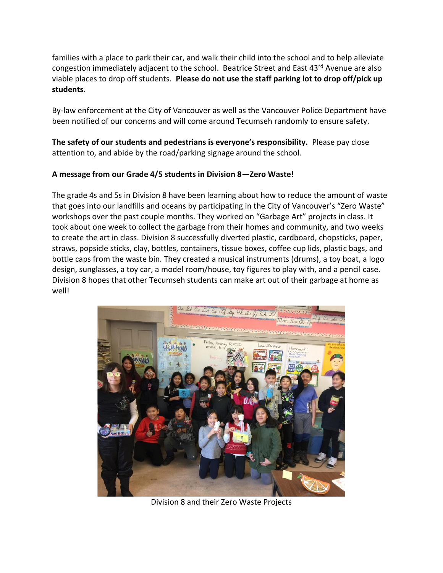families with a place to park their car, and walk their child into the school and to help alleviate congestion immediately adjacent to the school. Beatrice Street and East 43rd Avenue are also viable places to drop off students. **Please do not use the staff parking lot to drop off/pick up students.**

By-law enforcement at the City of Vancouver as well as the Vancouver Police Department have been notified of our concerns and will come around Tecumseh randomly to ensure safety.

**The safety of our students and pedestrians is everyone's responsibility.** Please pay close attention to, and abide by the road/parking signage around the school.

## **A message from our Grade 4/5 students in Division 8—Zero Waste!**

The grade 4s and 5s in Division 8 have been learning about how to reduce the amount of waste that goes into our landfills and oceans by participating in the City of Vancouver's "Zero Waste" workshops over the past couple months. They worked on "Garbage Art" projects in class. It took about one week to collect the garbage from their homes and community, and two weeks to create the art in class. Division 8 successfully diverted plastic, cardboard, chopsticks, paper, straws, popsicle sticks, clay, bottles, containers, tissue boxes, coffee cup lids, plastic bags, and bottle caps from the waste bin. They created a musical instruments (drums), a toy boat, a logo design, sunglasses, a toy car, a model room/house, toy figures to play with, and a pencil case. Division 8 hopes that other Tecumseh students can make art out of their garbage at home as well!



Division 8 and their Zero Waste Projects